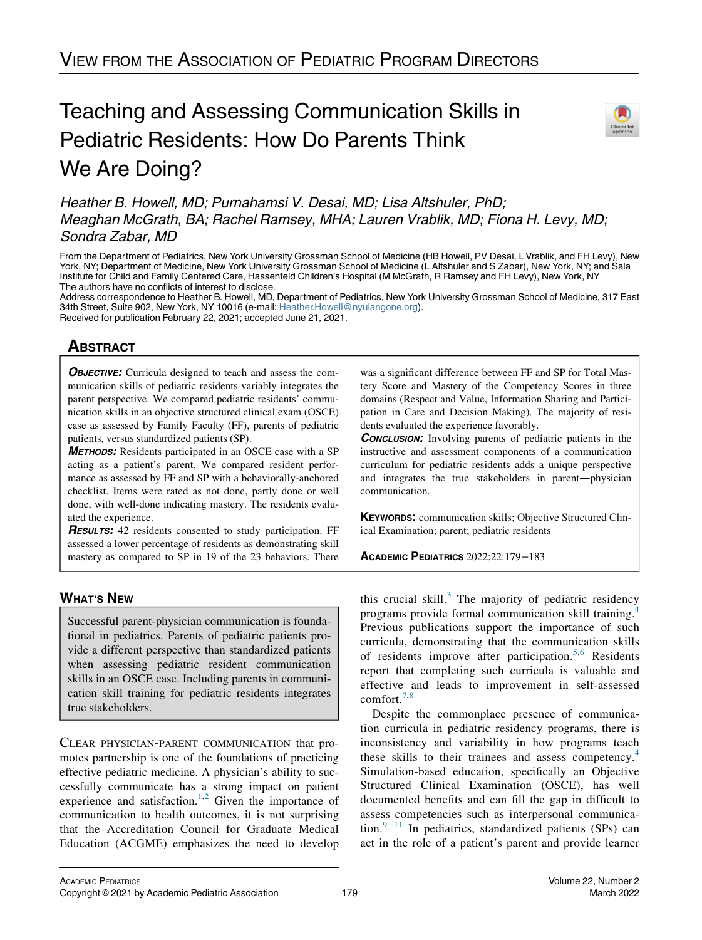# Teaching and Assessing Communication Skills in Pediatric Residents: How Do Parents Think We Are Doing?



Heather B. Howell, MD; Purnahamsi V. Desai, MD; Lisa Altshuler, PhD; Meaghan McGrath, BA; Rachel Ramsey, MHA; Lauren Vrablik, MD; Fiona H. Levy, MD; Sondra Zabar, MD

From the Department of Pediatrics, New York University Grossman School of Medicine (HB Howell, PV Desai, L Vrablik, and FH Levy), New York, NY; Department of Medicine, New York University Grossman School of Medicine (L Altshuler and S Zabar), New York, NY; and Sala Institute for Child and Family Centered Care, Hassenfeld Children's Hospital (M McGrath, R Ramsey and FH Levy), New York, NY The authors have no conflicts of interest to disclose.

Address correspondence to Heather B. Howell, MD, Department of Pediatrics, New York University Grossman School of Medicine, 317 East 34th Street, Suite 902, New York, NY 10016 (e-mail: [Heather.Howell@nyulangone.org](mailto:Heather.Howell@nyulangone.org)). Received for publication February 22, 2021; accepted June 21, 2021.

## **ABSTRACT**  $\frac{1}{\sqrt{2}}$

**OBJECTIVE:** Curricula designed to teach and assess the communication skills of pediatric residents variably integrates the parent perspective. We compared pediatric residents' communication skills in an objective structured clinical exam (OSCE) case as assessed by Family Faculty (FF), parents of pediatric patients, versus standardized patients (SP).

METHODS: Residents participated in an OSCE case with a SP acting as a patient's parent. We compared resident performance as assessed by FF and SP with a behaviorally-anchored checklist. Items were rated as not done, partly done or well done, with well-done indicating mastery. The residents evaluated the experience.

RESULTS: 42 residents consented to study participation. FF assessed a lower percentage of residents as demonstrating skill mastery as compared to SP in 19 of the 23 behaviors. There

### **WHAT'S NEW** WHAT'S NEWSFILM

Successful parent-physician communication is foundational in pediatrics. Parents of pediatric patients provide a different perspective than standardized patients when assessing pediatric resident communication skills in an OSCE case. Including parents in communication skill training for pediatric residents integrates true stakeholders.

CLEAR PHYSICIAN-PARENT COMMUNICATION that promotes partnership is one of the foundations of practicing effective pediatric medicine. A physician's ability to successfully communicate has a strong impact on patient experience and satisfaction.<sup>[1,](#page-4-0)[2](#page-4-1)</sup> Given the importance of communication to health outcomes, it is not surprising that the Accreditation Council for Graduate Medical Education (ACGME) emphasizes the need to develop

was a significant difference between FF and SP for Total Mastery Score and Mastery of the Competency Scores in three domains (Respect and Value, Information Sharing and Participation in Care and Decision Making). The majority of residents evaluated the experience favorably.

**CONCLUSION:** Involving parents of pediatric patients in the instructive and assessment components of a communication curriculum for pediatric residents adds a unique perspective and integrates the true stakeholders in parent—physician communication.

KEYWORDS: communication skills; Objective Structured Clinical Examination; parent; pediatric residents

ACADEMIC PEDIATRICS 2022;22:179−<sup>183</sup>

this crucial skill. $3$  The majority of pediatric residency programs provide formal communication skill training.<sup>[4](#page-4-3)</sup> Previous publications support the importance of such curricula, demonstrating that the communication skills of residents improve after participation.<sup>[5](#page-4-4)[,6](#page-4-5)</sup> Residents report that completing such curricula is valuable and effective and leads to improvement in self-assessed comfort. $7,8$  $7,8$ 

Despite the commonplace presence of communication curricula in pediatric residency programs, there is inconsistency and variability in how programs teach these skills to their trainees and assess competency.<sup>[4](#page-4-3)</sup> Simulation-based education, specifically an Objective Structured Clinical Examination (OSCE), has well documented benefits and can fill the gap in difficult to assess competencies such as interpersonal communication.9−[11](#page-4-8) In pediatrics, standardized patients (SPs) can act in the role of a patient's parent and provide learner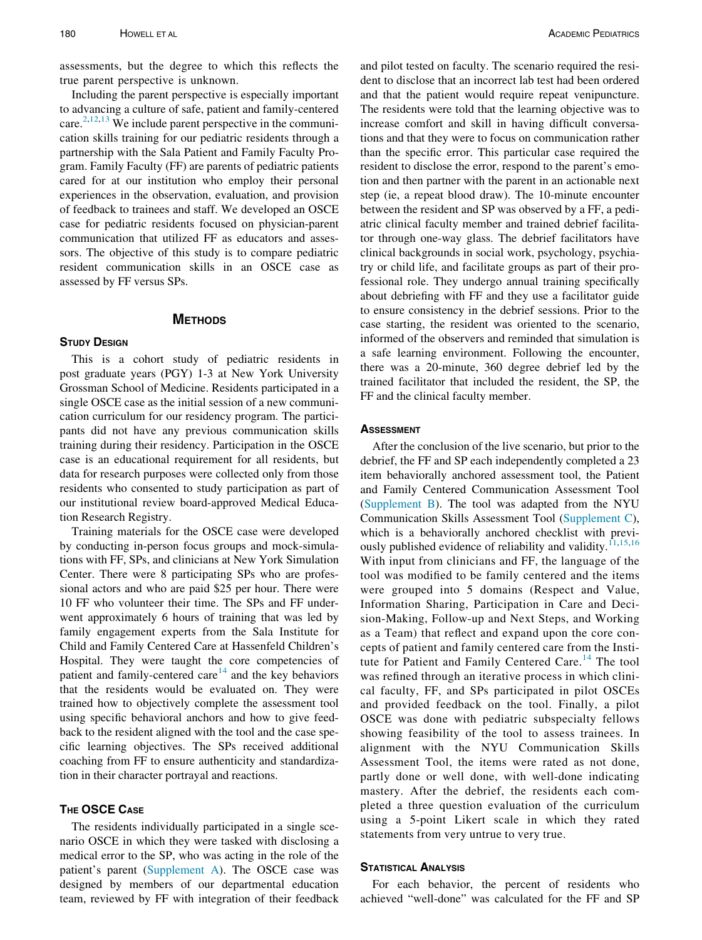assessments, but the degree to which this reflects the true parent perspective is unknown.

Including the parent perspective is especially important to advancing a culture of safe, patient and family-centered care. $2,12,13$  $2,12,13$  $2,12,13$  $2,12,13$  We include parent perspective in the communication skills training for our pediatric residents through a partnership with the Sala Patient and Family Faculty Program. Family Faculty (FF) are parents of pediatric patients cared for at our institution who employ their personal experiences in the observation, evaluation, and provision of feedback to trainees and staff. We developed an OSCE case for pediatric residents focused on physician-parent communication that utilized FF as educators and assessors. The objective of this study is to compare pediatric resident communication skills in an OSCE case as assessed by FF versus SPs.

### **METHODS** METHODS

This is a cohort study of pediatric residents in post graduate years (PGY) 1-3 at New York University Grossman School of Medicine. Residents participated in a single OSCE case as the initial session of a new communication curriculum for our residency program. The participants did not have any previous communication skills training during their residency. Participation in the OSCE case is an educational requirement for all residents, but data for research purposes were collected only from those residents who consented to study participation as part of our institutional review board-approved Medical Education Research Registry.

Training materials for the OSCE case were developed by conducting in-person focus groups and mock-simulations with FF, SPs, and clinicians at New York Simulation Center. There were 8 participating SPs who are professional actors and who are paid \$25 per hour. There were 10 FF who volunteer their time. The SPs and FF underwent approximately 6 hours of training that was led by family engagement experts from the Sala Institute for Child and Family Centered Care at Hassenfeld Children's Hospital. They were taught the core competencies of patient and family-centered care<sup>[14](#page-4-11)</sup> and the key behaviors that the residents would be evaluated on. They were trained how to objectively complete the assessment tool using specific behavioral anchors and how to give feedback to the resident aligned with the tool and the case specific learning objectives. The SPs received additional coaching from FF to ensure authenticity and standardization in their character portrayal and reactions.

### THE OSCE CASE

The residents individually participated in a single scenario OSCE in which they were tasked with disclosing a medical error to the SP, who was acting in the role of the patient's parent ([Supplement A\)](#page-4-12). The OSCE case was designed by members of our departmental education team, reviewed by FF with integration of their feedback

and pilot tested on faculty. The scenario required the resident to disclose that an incorrect lab test had been ordered and that the patient would require repeat venipuncture. The residents were told that the learning objective was to increase comfort and skill in having difficult conversations and that they were to focus on communication rather than the specific error. This particular case required the resident to disclose the error, respond to the parent's emotion and then partner with the parent in an actionable next step (ie, a repeat blood draw). The 10-minute encounter between the resident and SP was observed by a FF, a pediatric clinical faculty member and trained debrief facilitator through one-way glass. The debrief facilitators have clinical backgrounds in social work, psychology, psychiatry or child life, and facilitate groups as part of their professional role. They undergo annual training specifically about debriefing with FF and they use a facilitator guide to ensure consistency in the debrief sessions. Prior to the case starting, the resident was oriented to the scenario, informed of the observers and reminded that simulation is a safe learning environment. Following the encounter, there was a 20-minute, 360 degree debrief led by the trained facilitator that included the resident, the SP, the FF and the clinical faculty member.

### **ASSESSMENT**

After the conclusion of the live scenario, but prior to the debrief, the FF and SP each independently completed a 23 item behaviorally anchored assessment tool, the Patient and Family Centered Communication Assessment Tool ([Supplement B\)](#page-4-12). The tool was adapted from the NYU Communication Skills Assessment Tool ([Supplement C](#page-4-12)), which is a behaviorally anchored checklist with previ-ously published evidence of reliability and validity.<sup>[11](#page-4-13)[,15,](#page-4-14)[16](#page-4-15)</sup> With input from clinicians and FF, the language of the tool was modified to be family centered and the items were grouped into 5 domains (Respect and Value, Information Sharing, Participation in Care and Decision-Making, Follow-up and Next Steps, and Working as a Team) that reflect and expand upon the core concepts of patient and family centered care from the Insti-tute for Patient and Family Centered Care.<sup>[14](#page-4-11)</sup> The tool was refined through an iterative process in which clinical faculty, FF, and SPs participated in pilot OSCEs and provided feedback on the tool. Finally, a pilot OSCE was done with pediatric subspecialty fellows showing feasibility of the tool to assess trainees. In alignment with the NYU Communication Skills Assessment Tool, the items were rated as not done, partly done or well done, with well-done indicating mastery. After the debrief, the residents each completed a three question evaluation of the curriculum using a 5-point Likert scale in which they rated statements from very untrue to very true.

For each behavior, the percent of residents who achieved "well-done" was calculated for the FF and SP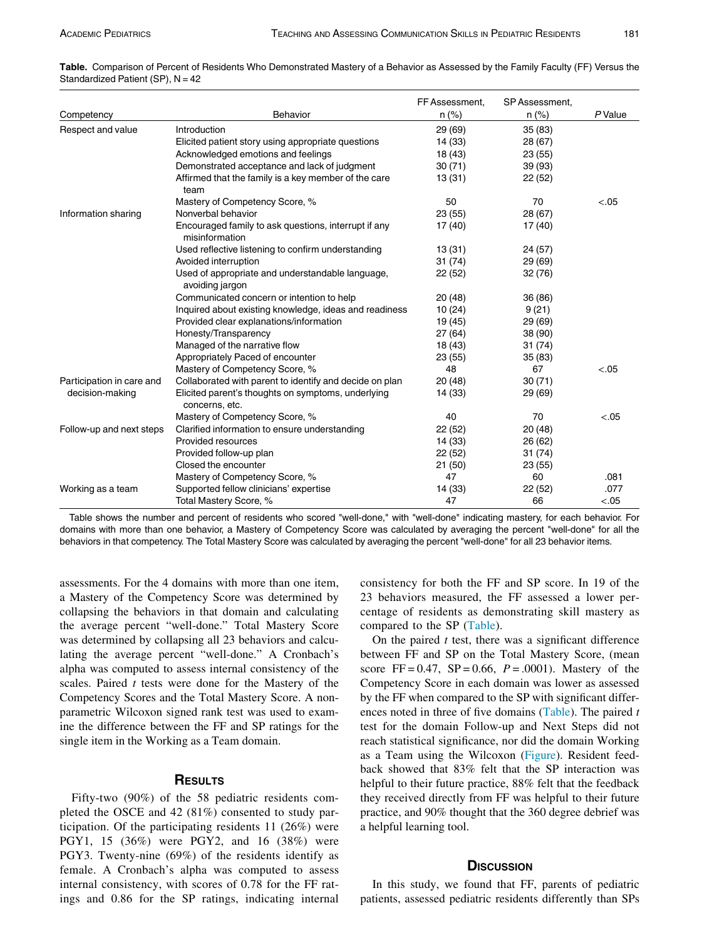| PU 1 |  |
|------|--|

<span id="page-2-0"></span>

| Table. Comparison of Percent of Residents Who Demonstrated Mastery of a Behavior as Assessed by the Family Faculty (FF) Versus the |  |  |  |  |
|------------------------------------------------------------------------------------------------------------------------------------|--|--|--|--|
| Standardized Patient (SP), N = 42                                                                                                  |  |  |  |  |

|                           |                                                                        | FF Assessment, | SP Assessment, |         |
|---------------------------|------------------------------------------------------------------------|----------------|----------------|---------|
| Competency                | <b>Behavior</b>                                                        | $n$ (%)        | $n (\%)$       | P Value |
| Respect and value         | Introduction                                                           | 29(69)         | 35(83)         |         |
|                           | Elicited patient story using appropriate questions                     | 14 (33)        | 28 (67)        |         |
|                           | Acknowledged emotions and feelings                                     | 18 (43)        | 23(55)         |         |
|                           | Demonstrated acceptance and lack of judgment                           | 30(71)         | 39 (93)        |         |
|                           | Affirmed that the family is a key member of the care<br>team           | 13(31)         | 22(52)         |         |
|                           | Mastery of Competency Score, %                                         | 50             | 70             | < 0.05  |
| Information sharing       | Nonverbal behavior                                                     | 23(55)         | 28 (67)        |         |
|                           | Encouraged family to ask questions, interrupt if any<br>misinformation | 17(40)         | 17 (40)        |         |
|                           | Used reflective listening to confirm understanding                     | 13(31)         | 24 (57)        |         |
|                           | Avoided interruption                                                   | 31(74)         | 29 (69)        |         |
|                           | Used of appropriate and understandable language,<br>avoiding jargon    | 22(52)         | 32(76)         |         |
|                           | Communicated concern or intention to help                              | 20(48)         | 36 (86)        |         |
|                           | Inquired about existing knowledge, ideas and readiness                 | 10(24)         | 9(21)          |         |
|                           | Provided clear explanations/information                                | 19 (45)        | 29 (69)        |         |
|                           | Honesty/Transparency                                                   | 27(64)         | 38 (90)        |         |
|                           | Managed of the narrative flow                                          | 18 (43)        | 31(74)         |         |
|                           | Appropriately Paced of encounter                                       | 23(55)         | 35(83)         |         |
|                           | Mastery of Competency Score, %                                         | 48             | 67             | < .05   |
| Participation in care and | Collaborated with parent to identify and decide on plan                | 20(48)         | 30(71)         |         |
| decision-making           | Elicited parent's thoughts on symptoms, underlying<br>concerns, etc.   | 14 (33)        | 29 (69)        |         |
|                           | Mastery of Competency Score, %                                         | 40             | 70             | $-.05$  |
| Follow-up and next steps  | Clarified information to ensure understanding                          | 22(52)         | 20(48)         |         |
|                           | Provided resources                                                     | 14 (33)        | 26 (62)        |         |
|                           | Provided follow-up plan                                                | 22(52)         | 31(74)         |         |
|                           | Closed the encounter                                                   | 21(50)         | 23(55)         |         |
|                           | Mastery of Competency Score, %                                         | 47             | 60             | .081    |
| Working as a team         | Supported fellow clinicians' expertise                                 | 14 (33)        | 22(52)         | .077    |
|                           | Total Mastery Score, %                                                 | 47             | 66             | < 0.05  |

Table shows the number and percent of residents who scored "well-done," with "well-done" indicating mastery, for each behavior. For domains with more than one behavior, a Mastery of Competency Score was calculated by averaging the percent "well-done" for all the behaviors in that competency. The Total Mastery Score was calculated by averaging the percent "well-done" for all 23 behavior items.

assessments. For the 4 domains with more than one item, a Mastery of the Competency Score was determined by collapsing the behaviors in that domain and calculating the average percent "well-done." Total Mastery Score was determined by collapsing all 23 behaviors and calculating the average percent "well-done." A Cronbach's alpha was computed to assess internal consistency of the scales. Paired  $t$  tests were done for the Mastery of the Competency Scores and the Total Mastery Score. A nonparametric Wilcoxon signed rank test was used to examine the difference between the FF and SP ratings for the single item in the Working as a Team domain.

### **RESULTS**

Fifty-two  $(90\%)$  of the 58 pediatric residents completed the OSCE and 42 (81%) consented to study participation. Of the participating residents 11 (26%) were PGY1, 15 (36%) were PGY2, and 16 (38%) were PGY3. Twenty-nine (69%) of the residents identify as female. A Cronbach's alpha was computed to assess internal consistency, with scores of 0.78 for the FF ratings and 0.86 for the SP ratings, indicating internal consistency for both the FF and SP score. In 19 of the 23 behaviors measured, the FF assessed a lower percentage of residents as demonstrating skill mastery as compared to the SP ([Table](#page-2-0)).

On the paired  $t$  test, there was a significant difference between FF and SP on the Total Mastery Score, (mean score FF =  $0.47$ , SP =  $0.66$ , P =  $.0001$ ). Mastery of the Competency Score in each domain was lower as assessed by the FF when compared to the SP with significant differ-ences noted in three of five domains ([Table](#page-2-0)). The paired  $t$ test for the domain Follow-up and Next Steps did not reach statistical significance, nor did the domain Working as a Team using the Wilcoxon [\(Figure](#page-3-0)). Resident feedback showed that 83% felt that the SP interaction was helpful to their future practice, 88% felt that the feedback they received directly from FF was helpful to their future practice, and 90% thought that the 360 degree debrief was a helpful learning tool.

### **DISCUSSION**

In this study, we found that FF, parents of pediatric patients, assessed pediatric residents differently than SPs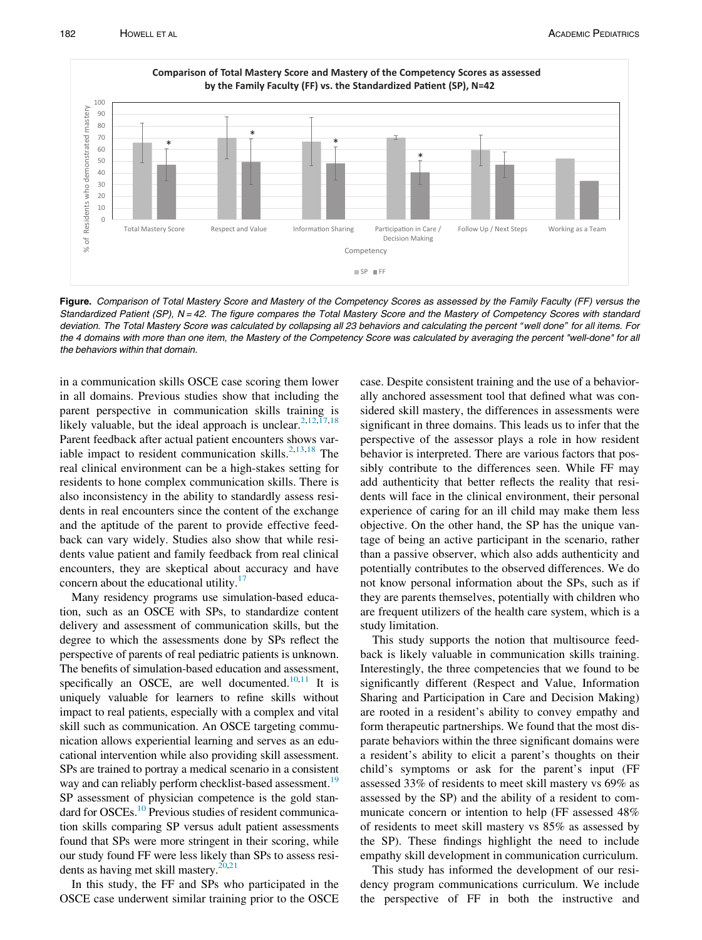<span id="page-3-0"></span>

Figure. Comparison of Total Mastery Score and Mastery of the Competency Scores as assessed by the Family Faculty (FF) versus the Standardized Patient (SP), N = 42. The figure compares the Total Mastery Score and the Mastery of Competency Scores with standard deviation. The Total Mastery Score was calculated by collapsing all 23 behaviors and calculating the percent " well done" for all items. For the 4 domains with more than one item, the Mastery of the Competency Score was calculated by averaging the percent "well-done" for all the behaviors within that domain.

in a communication skills OSCE case scoring them lower in all domains. Previous studies show that including the parent perspective in communication skills training is likely valuable, but the ideal approach is unclear.<sup>[2](#page-4-1)[,12,](#page-4-9)[17](#page-4-16),[18](#page-4-17)</sup> Parent feedback after actual patient encounters shows variable impact to resident communication skills. $2,13,18$  $2,13,18$  $2,13,18$  The real clinical environment can be a high-stakes setting for residents to hone complex communication skills. There is also inconsistency in the ability to standardly assess residents in real encounters since the content of the exchange and the aptitude of the parent to provide effective feedback can vary widely. Studies also show that while residents value patient and family feedback from real clinical encounters, they are skeptical about accuracy and have concern about the educational utility.<sup>[17](#page-4-16)</sup>

Many residency programs use simulation-based education, such as an OSCE with SPs, to standardize content delivery and assessment of communication skills, but the degree to which the assessments done by SPs reflect the perspective of parents of real pediatric patients is unknown. The benefits of simulation-based education and assessment, specifically an OSCE, are well documented. $10,11$  $10,11$  It is uniquely valuable for learners to refine skills without impact to real patients, especially with a complex and vital skill such as communication. An OSCE targeting communication allows experiential learning and serves as an educational intervention while also providing skill assessment. SPs are trained to portray a medical scenario in a consistent way and can reliably perform checklist-based assessment.<sup>19</sup> SP assessment of physician competence is the gold standard for OSCEs.<sup>10</sup> Previous studies of resident communication skills comparing SP versus adult patient assessments found that SPs were more stringent in their scoring, while our study found FF were less likely than SPs to assess residents as having met skill mastery. $20,21$  $20,21$  $20,21$ 

In this study, the FF and SPs who participated in the OSCE case underwent similar training prior to the OSCE case. Despite consistent training and the use of a behaviorally anchored assessment tool that defined what was considered skill mastery, the differences in assessments were significant in three domains. This leads us to infer that the perspective of the assessor plays a role in how resident behavior is interpreted. There are various factors that possibly contribute to the differences seen. While FF may add authenticity that better reflects the reality that residents will face in the clinical environment, their personal experience of caring for an ill child may make them less objective. On the other hand, the SP has the unique vantage of being an active participant in the scenario, rather than a passive observer, which also adds authenticity and potentially contributes to the observed differences. We do not know personal information about the SPs, such as if they are parents themselves, potentially with children who are frequent utilizers of the health care system, which is a study limitation.

This study supports the notion that multisource feedback is likely valuable in communication skills training. Interestingly, the three competencies that we found to be significantly different (Respect and Value, Information Sharing and Participation in Care and Decision Making) are rooted in a resident's ability to convey empathy and form therapeutic partnerships. We found that the most disparate behaviors within the three significant domains were a resident's ability to elicit a parent's thoughts on their child's symptoms or ask for the parent's input (FF assessed 33% of residents to meet skill mastery vs 69% as assessed by the SP) and the ability of a resident to communicate concern or intention to help (FF assessed 48% of residents to meet skill mastery vs 85% as assessed by the SP). These findings highlight the need to include empathy skill development in communication curriculum.

This study has informed the development of our residency program communications curriculum. We include the perspective of FF in both the instructive and